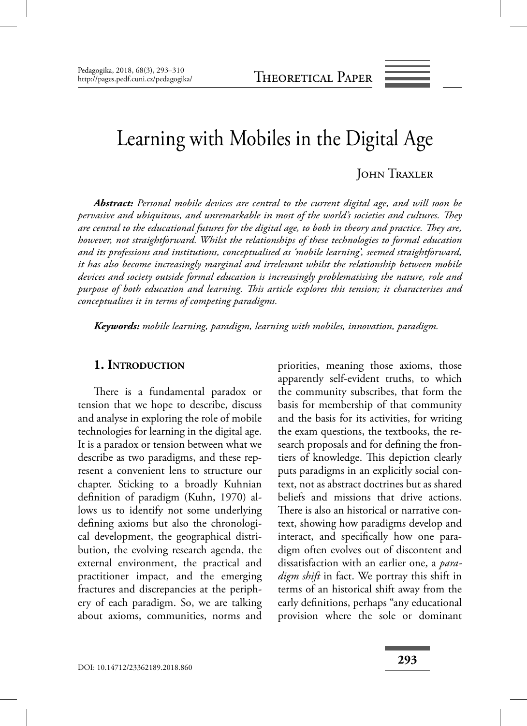# Learning with Mobiles in the Digital Age

#### JOHN TRAXLER

*Abstract: Personal mobile devices are central to the current digital age, and will soon be pervasive and ubiquitous, and unremarkable in most of the world's societies and cultures. They* are central to the educational futures for the digital age, to both in theory and practice. They are, *however, not straightforward. Whilst the relationships of these technologies to formal education and its professions and institutions, conceptualised as 'mobile learning', seemed straightforward, it has also become increasingly marginal and irrelevant whilst the relationship between mobile devices and society outside formal education is increasingly problematising the nature, role and purpose of both education and learning. This article explores this tension; it characterises and conceptualises it in terms of competing paradigms.*

*Keywords: mobile learning, paradigm, learning with mobiles, innovation, paradigm.*

#### **1. INTRODUCTION**

There is a fundamental paradox or tension that we hope to describe, discuss and analyse in exploring the role of mobile technologies for learning in the digital age. It is a paradox or tension between what we describe as two paradigms, and these represent a convenient lens to structure our chapter. Sticking to a broadly Kuhnian definition of paradigm (Kuhn, 1970) allows us to identify not some underlying defining axioms but also the chronological development, the geographical distribution, the evolving research agenda, the external environment, the practical and practitioner impact, and the emerging fractures and discrepancies at the periphery of each paradigm. So, we are talking about axioms, communities, norms and

priorities, meaning those axioms, those apparently self-evident truths, to which the community subscribes, that form the basis for membership of that community and the basis for its activities, for writing the exam questions, the textbooks, the research proposals and for defining the frontiers of knowledge. This depiction clearly puts paradigms in an explicitly social context, not as abstract doctrines but as shared beliefs and missions that drive actions. There is also an historical or narrative context, showing how paradigms develop and interact, and specifically how one paradigm often evolves out of discontent and dissatisfaction with an earlier one, a *paradigm shift* in fact. We portray this shift in terms of an historical shift away from the early definitions, perhaps "any educational provision where the sole or dominant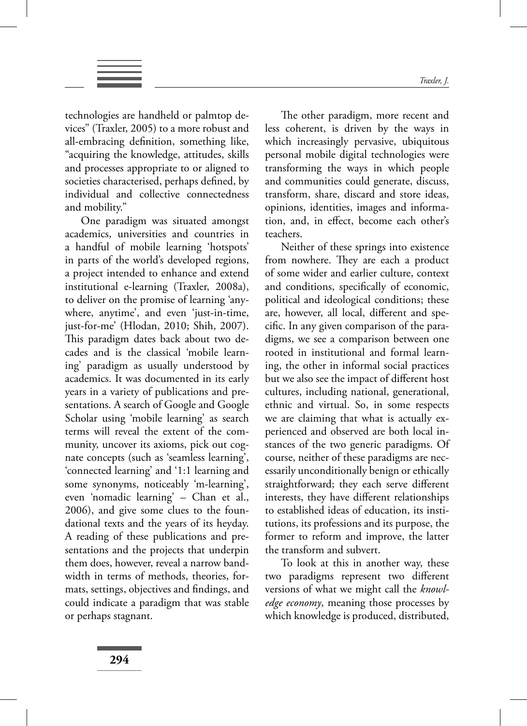

technologies are handheld or palmtop devices" (Traxler, 2005) to a more robust and all-embracing definition, something like, "acquiring the knowledge, attitudes, skills and processes appropriate to or aligned to societies characterised, perhaps defined, by individual and collective connectedness and mobility."

One paradigm was situated amongst academics, universities and countries in a handful of mobile learning 'hotspots' in parts of the world's developed regions, a project intended to enhance and extend institutional e-learning (Traxler, 2008a), to deliver on the promise of learning 'anywhere, anytime', and even 'just-in-time, just-for-me' (Hlodan, 2010; Shih, 2007). This paradigm dates back about two decades and is the classical 'mobile learning' paradigm as usually understood by academics. It was documented in its early years in a variety of publications and presentations. A search of Google and Google Scholar using 'mobile learning' as search terms will reveal the extent of the community, uncover its axioms, pick out cognate concepts (such as 'seamless learning', 'connected learning' and '1:1 learning and some synonyms, noticeably 'm-learning', even 'nomadic learning' – Chan et al., 2006), and give some clues to the foundational texts and the years of its heyday. A reading of these publications and presentations and the projects that underpin them does, however, reveal a narrow bandwidth in terms of methods, theories, formats, settings, objectives and findings, and could indicate a paradigm that was stable or perhaps stagnant.

The other paradigm, more recent and less coherent, is driven by the ways in which increasingly pervasive, ubiquitous personal mobile digital technologies were transforming the ways in which people and communities could generate, discuss, transform, share, discard and store ideas, opinions, identities, images and information, and, in effect, become each other's teachers.

Neither of these springs into existence from nowhere. They are each a product of some wider and earlier culture, context and conditions, specifically of economic, political and ideological conditions; these are, however, all local, different and specific. In any given comparison of the paradigms, we see a comparison between one rooted in institutional and formal learning, the other in informal social practices but we also see the impact of different host cultures, including national, generational, ethnic and virtual. So, in some respects we are claiming that what is actually experienced and observed are both local instances of the two generic paradigms. Of course, neither of these paradigms are necessarily unconditionally benign or ethically straightforward; they each serve different interests, they have different relationships to established ideas of education, its institutions, its professions and its purpose, the former to reform and improve, the latter the transform and subvert.

To look at this in another way, these two paradigms represent two different versions of what we might call the *knowledge economy*, meaning those processes by which knowledge is produced, distributed,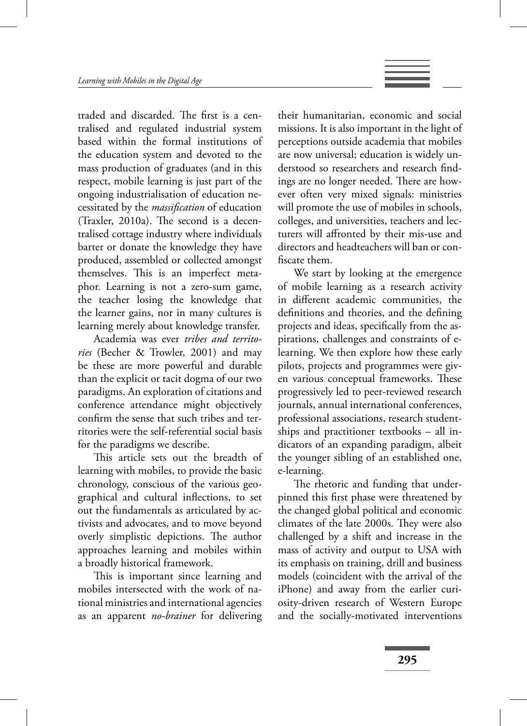traded and discarded. The first is a centralised and regulated industrial system based within the formal institutions of the education system and devoted to the mass production of graduates (and in this respect, mobile learning is just part of the ongoing industrialisation of education necessitated by the *massifi cation* of education (Traxler, 2010a). The second is a decentralised cottage industry where individuals barter or donate the knowledge they have produced, assembled or collected amongst themselves. This is an imperfect metaphor. Learning is not a zero-sum game, the teacher losing the knowledge that the learner gains, nor in many cultures is learning merely about knowledge transfer.

Academia was ever *tribes and territories* (Becher & Trowler, 2001) and may be these are more powerful and durable than the explicit or tacit dogma of our two paradigms. An exploration of citations and conference attendance might objectively confirm the sense that such tribes and territories were the self-referential social basis for the paradigms we describe.

This article sets out the breadth of learning with mobiles, to provide the basic chronology, conscious of the various geographical and cultural inflections, to set out the fundamentals as articulated by activists and advocates, and to move beyond overly simplistic depictions. The author approaches learning and mobiles within a broadly historical framework.

This is important since learning and mobiles intersected with the work of national ministries and international agencies as an apparent *no-brainer* for delivering

their humanitarian, economic and social missions. It is also important in the light of perceptions outside academia that mobiles are now universal; education is widely understood so researchers and research findings are no longer needed. There are however often very mixed signals: ministries will promote the use of mobiles in schools, colleges, and universities, teachers and lecturers will affronted by their mis-use and directors and headteachers will ban or confiscate them.

We start by looking at the emergence of mobile learning as a research activity in different academic communities, the definitions and theories, and the defining projects and ideas, specifically from the aspirations, challenges and constraints of elearning. We then explore how these early pilots, projects and programmes were given various conceptual frameworks. These progressively led to peer-reviewed research journals, annual international conferences, professional associations, research studentships and practitioner textbooks – all indicators of an expanding paradigm, albeit the younger sibling of an established one, e-learning.

The rhetoric and funding that underpinned this first phase were threatened by the changed global political and economic climates of the late 2000s. They were also challenged by a shift and increase in the mass of activity and output to USA with its emphasis on training, drill and business models (coincident with the arrival of the iPhone) and away from the earlier curiosity-driven research of Western Europe and the socially-motivated interventions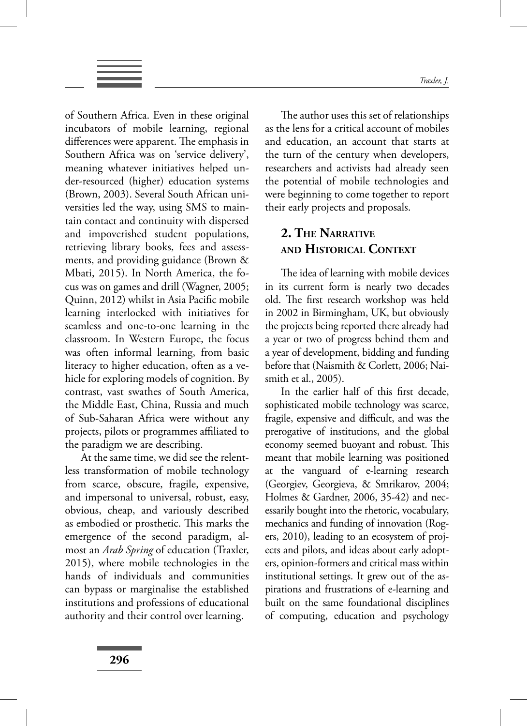

of Southern Africa. Even in these original incubators of mobile learning, regional differences were apparent. The emphasis in Southern Africa was on 'service delivery', meaning whatever initiatives helped under-resourced (higher) education systems (Brown, 2003). Several South African universities led the way, using SMS to maintain contact and continuity with dispersed and impoverished student populations, retrieving library books, fees and assessments, and providing guidance (Brown & Mbati, 2015). In North America, the focus was on games and drill (Wagner, 2005; Quinn, 2012) whilst in Asia Pacific mobile learning interlocked with initiatives for seamless and one-to-one learning in the classroom. In Western Europe, the focus was often informal learning, from basic literacy to higher education, often as a vehicle for exploring models of cognition. By contrast, vast swathes of South America, the Middle East, China, Russia and much of Sub-Saharan Africa were without any projects, pilots or programmes affiliated to the paradigm we are describing.

At the same time, we did see the relentless transformation of mobile technology from scarce, obscure, fragile, expensive, and impersonal to universal, robust, easy, obvious, cheap, and variously described as embodied or prosthetic. This marks the emergence of the second paradigm, almost an *Arab Spring* of education (Traxler, 2015), where mobile technologies in the hands of individuals and communities can bypass or marginalise the established institutions and professions of educational authority and their control over learning.

The author uses this set of relationships as the lens for a critical account of mobiles and education, an account that starts at the turn of the century when developers, researchers and activists had already seen the potential of mobile technologies and were beginning to come together to report their early projects and proposals.

## **2. THE NARRATIVE AND HISTORICAL CONTEXT**

The idea of learning with mobile devices in its current form is nearly two decades old. The first research workshop was held in 2002 in Birmingham, UK, but obviously the projects being reported there already had a year or two of progress behind them and a year of development, bidding and funding before that (Naismith & Corlett, 2006; Naismith et al., 2005).

In the earlier half of this first decade, sophisticated mobile technology was scarce, fragile, expensive and difficult, and was the prerogative of institutions, and the global economy seemed buoyant and robust. This meant that mobile learning was positioned at the vanguard of e-learning research (Georgiev, Georgieva, & Smrikarov, 2004; Holmes & Gardner, 2006, 35-42) and necessarily bought into the rhetoric, vocabulary, mechanics and funding of innovation (Rogers, 2010), leading to an ecosystem of projects and pilots, and ideas about early adopters, opinion-formers and critical mass within institutional settings. It grew out of the aspirations and frustrations of e-learning and built on the same foundational disciplines of computing, education and psychology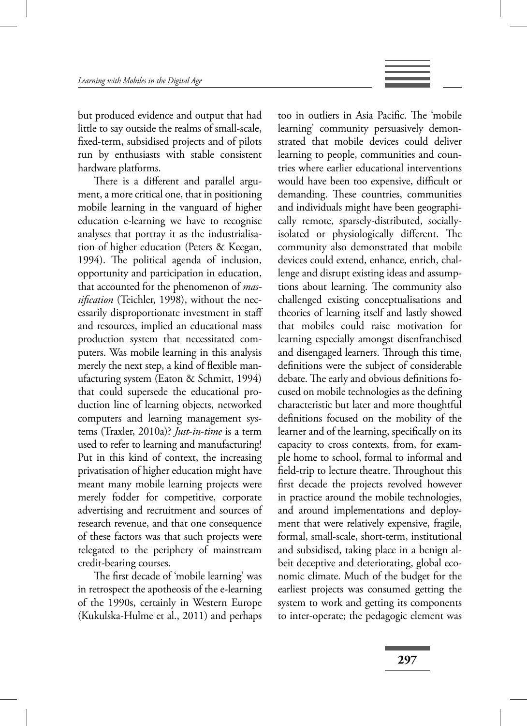but produced evidence and output that had little to say outside the realms of small-scale, fixed-term, subsidised projects and of pilots run by enthusiasts with stable consistent hardware platforms.

There is a different and parallel argument, a more critical one, that in positioning mobile learning in the vanguard of higher education e-learning we have to recognise analyses that portray it as the industrialisation of higher education (Peters & Keegan, 1994). The political agenda of inclusion, opportunity and participation in education, that accounted for the phenomenon of *massifi cation* (Teichler, 1998), without the necessarily disproportionate investment in staff and resources, implied an educational mass production system that necessitated computers. Was mobile learning in this analysis merely the next step, a kind of flexible manufacturing system (Eaton & Schmitt, 1994) that could supersede the educational production line of learning objects, networked computers and learning management systems (Traxler, 2010a)? *Just-in-time* is a term used to refer to learning and manufacturing! Put in this kind of context, the increasing privatisation of higher education might have meant many mobile learning projects were merely fodder for competitive, corporate advertising and recruitment and sources of research revenue, and that one consequence of these factors was that such projects were relegated to the periphery of mainstream credit-bearing courses.

The first decade of 'mobile learning' was in retrospect the apotheosis of the e-learning of the 1990s, certainly in Western Europe (Kukulska-Hulme et al., 2011) and perhaps

too in outliers in Asia Pacific. The 'mobile learning' community persuasively demonstrated that mobile devices could deliver learning to people, communities and countries where earlier educational interventions would have been too expensive, difficult or demanding. These countries, communities and individuals might have been geographically remote, sparsely-distributed, sociallyisolated or physiologically different. The community also demonstrated that mobile devices could extend, enhance, enrich, challenge and disrupt existing ideas and assumptions about learning. The community also challenged existing conceptualisations and theories of learning itself and lastly showed that mobiles could raise motivation for learning especially amongst disenfranchised and disengaged learners. Through this time, definitions were the subject of considerable debate. The early and obvious definitions focused on mobile technologies as the defining characteristic but later and more thoughtful definitions focused on the mobility of the learner and of the learning, specifically on its capacity to cross contexts, from, for example home to school, formal to informal and field-trip to lecture theatre. Throughout this first decade the projects revolved however in practice around the mobile technologies, and around implementations and deployment that were relatively expensive, fragile, formal, small-scale, short-term, institutional and subsidised, taking place in a benign albeit deceptive and deteriorating, global economic climate. Much of the budget for the earliest projects was consumed getting the system to work and getting its components to inter-operate; the pedagogic element was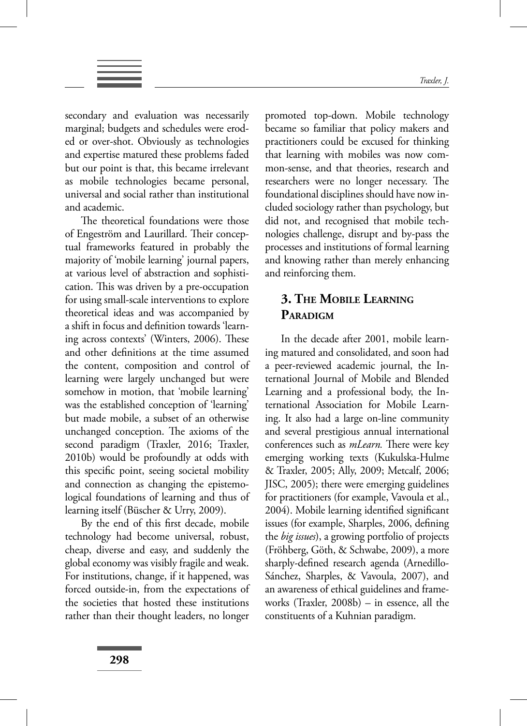secondary and evaluation was necessarily marginal; budgets and schedules were eroded or over-shot. Obviously as technologies and expertise matured these problems faded but our point is that, this became irrelevant as mobile technologies became personal, universal and social rather than institutional and academic.

The theoretical foundations were those of Engeström and Laurillard. Their conceptual frameworks featured in probably the majority of 'mobile learning' journal papers, at various level of abstraction and sophistication. This was driven by a pre-occupation for using small-scale interventions to explore theoretical ideas and was accompanied by a shift in focus and definition towards 'learning across contexts' (Winters, 2006). These and other definitions at the time assumed the content, composition and control of learning were largely unchanged but were somehow in motion, that 'mobile learning' was the established conception of 'learning' but made mobile, a subset of an otherwise unchanged conception. The axioms of the second paradigm (Traxler, 2016; Traxler, 2010b) would be profoundly at odds with this specific point, seeing societal mobility and connection as changing the epistemological foundations of learning and thus of learning itself (Büscher & Urry, 2009).

By the end of this first decade, mobile technology had become universal, robust, cheap, diverse and easy, and suddenly the global economy was visibly fragile and weak. For institutions, change, if it happened, was forced outside-in, from the expectations of the societies that hosted these institutions rather than their thought leaders, no longer

promoted top-down. Mobile technology became so familiar that policy makers and practitioners could be excused for thinking that learning with mobiles was now common-sense, and that theories, research and researchers were no longer necessary. The foundational disciplines should have now included sociology rather than psychology, but did not, and recognised that mobile technologies challenge, disrupt and by-pass the processes and institutions of formal learning and knowing rather than merely enhancing and reinforcing them.

## **3. THE MOBILE LEARNING PARADIGM**

In the decade after 2001, mobile learning matured and consolidated, and soon had a peer-reviewed academic journal, the International Journal of Mobile and Blended Learning and a professional body, the International Association for Mobile Learning. It also had a large on-line community and several prestigious annual international conferences such as *mLearn*. There were key emerging working texts (Kukulska-Hulme & Traxler, 2005; Ally, 2009; Metcalf, 2006; JISC, 2005); there were emerging guidelines for practitioners (for example, Vavoula et al., 2004). Mobile learning identified significant issues (for example, Sharples, 2006, defining the *big issues*), a growing portfolio of projects (Fröhberg, Göth, & Schwabe, 2009), a more sharply-defined research agenda (Arnedillo-Sánchez, Sharples, & Vavoula, 2007), and an awareness of ethical guidelines and frameworks (Traxler, 2008b) – in essence, all the constituents of a Kuhnian paradigm.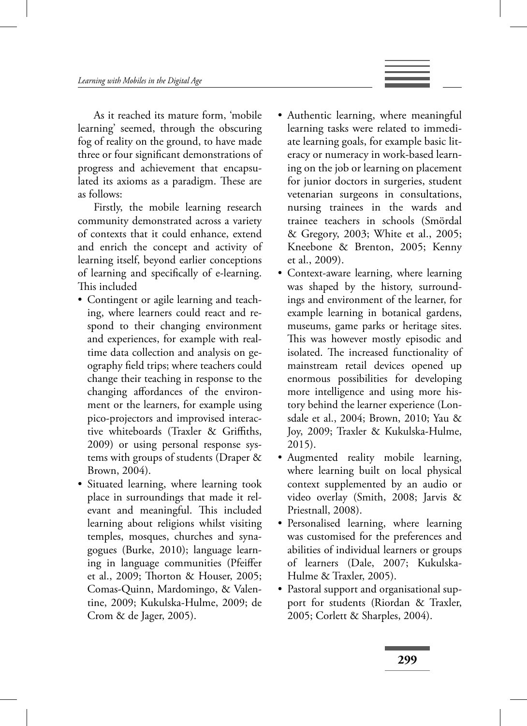As it reached its mature form, 'mobile learning' seemed, through the obscuring fog of reality on the ground, to have made three or four significant demonstrations of progress and achievement that encapsulated its axioms as a paradigm. These are as follows:

Firstly, the mobile learning research community demonstrated across a variety of contexts that it could enhance, extend and enrich the concept and activity of learning itself, beyond earlier conceptions of learning and specifically of e-learning. This included

- Contingent or agile learning and teaching, where learners could react and respond to their changing environment and experiences, for example with realtime data collection and analysis on geography field trips; where teachers could change their teaching in response to the changing affordances of the environment or the learners, for example using pico-projectors and improvised interactive whiteboards (Traxler  $\&$  Griffiths, 2009) or using personal response systems with groups of students (Draper & Brown, 2004).
- Situated learning, where learning took place in surroundings that made it relevant and meaningful. This included learning about religions whilst visiting temples, mosques, churches and synagogues (Burke, 2010); language learning in language communities (Pfeiffer et al., 2009; Thorton & Houser, 2005; Comas-Quinn, Mardomingo, & Valentine, 2009; Kukulska-Hulme, 2009; de Crom & de Jager, 2005).
- Authentic learning, where meaningful learning tasks were related to immediate learning goals, for example basic literacy or numeracy in work-based learning on the job or learning on placement for junior doctors in surgeries, student vetenarian surgeons in consultations, nursing trainees in the wards and trainee teachers in schools (Smördal & Gregory, 2003; White et al., 2005; Kneebone & Brenton, 2005; Kenny et al., 2009).
- Context-aware learning, where learning was shaped by the history, surroundings and environment of the learner, for example learning in botanical gardens, museums, game parks or heritage sites. This was however mostly episodic and isolated. The increased functionality of mainstream retail devices opened up enormous possibilities for developing more intelligence and using more history behind the learner experience (Lonsdale et al., 2004; Brown, 2010; Yau & Joy, 2009; Traxler & Kukulska-Hulme, 2015).
- Augmented reality mobile learning, where learning built on local physical context supplemented by an audio or video overlay (Smith, 2008; Jarvis & Priestnall, 2008).
- Personalised learning, where learning was customised for the preferences and abilities of individual learners or groups of learners (Dale, 2007; Kukulska-Hulme & Traxler, 2005).
- Pastoral support and organisational support for students (Riordan & Traxler, 2005; Corlett & Sharples, 2004).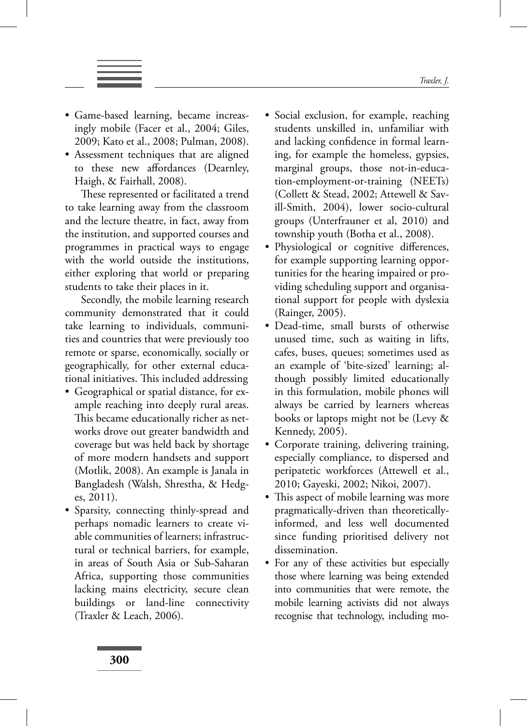- Game-based learning, became increasingly mobile (Facer et al., 2004; Giles, 2009; Kato et al., 2008; Pulman, 2008).
- Assessment techniques that are aligned to these new affordances (Dearnley, Haigh, & Fairhall, 2008).

These represented or facilitated a trend to take learning away from the classroom and the lecture theatre, in fact, away from the institution, and supported courses and programmes in practical ways to engage with the world outside the institutions, either exploring that world or preparing students to take their places in it.

Secondly, the mobile learning research community demonstrated that it could take learning to individuals, communities and countries that were previously too remote or sparse, economically, socially or geographically, for other external educational initiatives. This included addressing

- Geographical or spatial distance, for example reaching into deeply rural areas. This became educationally richer as networks drove out greater bandwidth and coverage but was held back by shortage of more modern handsets and support (Motlik, 2008). An example is Janala in Bangladesh (Walsh, Shrestha, & Hedges, 2011).
- Sparsity, connecting thinly-spread and perhaps nomadic learners to create viable communities of learners; infrastructural or technical barriers, for example, in areas of South Asia or Sub-Saharan Africa, supporting those communities lacking mains electricity, secure clean buildings or land-line connectivity (Traxler & Leach, 2006).
- Social exclusion, for example, reaching students unskilled in, unfamiliar with and lacking confidence in formal learning, for example the homeless, gypsies, marginal groups, those not-in-education-employment-or-training (NEETs) (Collett & Stead, 2002; Attewell & Savill-Smith, 2004), lower socio-cultural groups (Unterfrauner et al, 2010) and township youth (Botha et al., 2008).
- Physiological or cognitive differences, for example supporting learning opportunities for the hearing impaired or providing scheduling support and organisational support for people with dyslexia (Rainger, 2005).
- Dead-time, small bursts of otherwise unused time, such as waiting in lifts, cafes, buses, queues; sometimes used as an example of 'bite-sized' learning; although possibly limited educationally in this formulation, mobile phones will always be carried by learners whereas books or laptops might not be (Levy & Kennedy, 2005).
- Corporate training, delivering training, especially compliance, to dispersed and peripatetic workforces (Attewell et al., 2010; Gayeski, 2002; Nikoi, 2007).
- This aspect of mobile learning was more pragmatically-driven than theoreticallyinformed, and less well documented since funding prioritised delivery not dissemination.
- For any of these activities but especially those where learning was being extended into communities that were remote, the mobile learning activists did not always recognise that technology, including mo-

**300**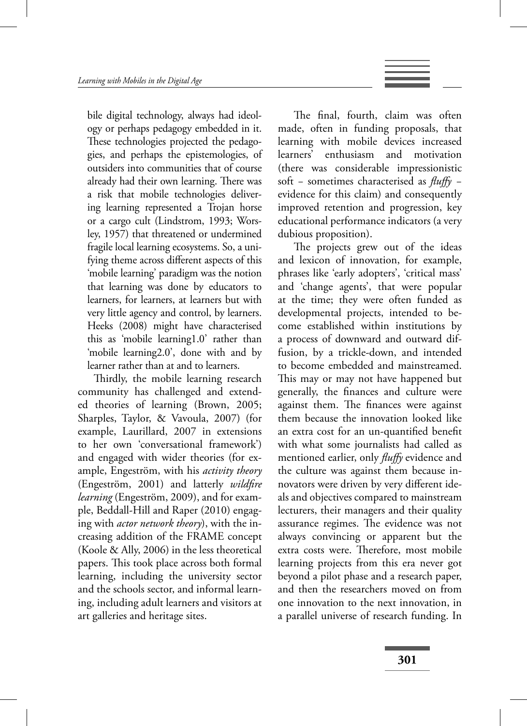bile digital technology, always had ideology or perhaps pedagogy embedded in it. These technologies projected the pedagogies, and perhaps the epistemologies, of outsiders into communities that of course already had their own learning. There was a risk that mobile technologies delivering learning represented a Trojan horse or a cargo cult (Lindstrom, 1993; Worsley, 1957) that threatened or undermined fragile local learning ecosystems. So, a unifying theme across different aspects of this 'mobile learning' paradigm was the notion that learning was done by educators to learners, for learners, at learners but with very little agency and control, by learners. Heeks (2008) might have characterised this as 'mobile learning1.0' rather than 'mobile learning2.0', done with and by learner rather than at and to learners.

Thirdly, the mobile learning research community has challenged and extended theories of learning (Brown, 2005; Sharples, Taylor, & Vavoula, 2007) (for example, Laurillard, 2007 in extensions to her own 'conversational framework') and engaged with wider theories (for example, Engeström, with his *activity theory* (Engeström, 2001) and latterly *wildfire learning* (Engeström, 2009), and for example, Beddall-Hill and Raper (2010) engaging with *actor network theory*), with the increasing addition of the FRAME concept (Koole & Ally, 2006) in the less theoretical papers. This took place across both formal learning, including the university sector and the schools sector, and informal learning, including adult learners and visitors at art galleries and heritage sites.

The final, fourth, claim was often made, often in funding proposals, that learning with mobile devices increased learners' enthusiasm and motivation (there was considerable impressionistic soft – sometimes characterised as *fluffy* – evidence for this claim) and consequently improved retention and progression, key educational performance indicators (a very dubious proposition).

The projects grew out of the ideas and lexicon of innovation, for example, phrases like 'early adopters', 'critical mass' and 'change agents', that were popular at the time; they were often funded as developmental projects, intended to become established within institutions by a process of downward and outward diffusion, by a trickle-down, and intended to become embedded and mainstreamed. This may or may not have happened but generally, the finances and culture were against them. The finances were against them because the innovation looked like an extra cost for an un-quantified benefit with what some journalists had called as mentioned earlier, only *fluffy* evidence and the culture was against them because innovators were driven by very different ideals and objectives compared to mainstream lecturers, their managers and their quality assurance regimes. The evidence was not always convincing or apparent but the extra costs were. Therefore, most mobile learning projects from this era never got beyond a pilot phase and a research paper, and then the researchers moved on from one innovation to the next innovation, in a parallel universe of research funding. In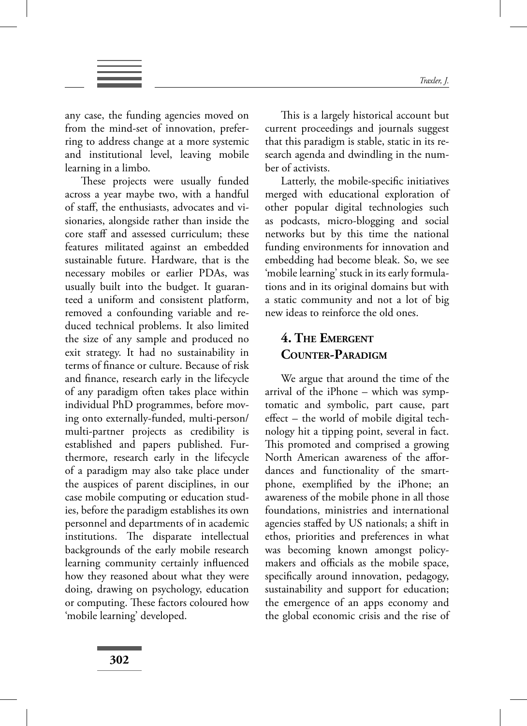any case, the funding agencies moved on from the mind-set of innovation, preferring to address change at a more systemic and institutional level, leaving mobile learning in a limbo.

These projects were usually funded across a year maybe two, with a handful of staff, the enthusiasts, advocates and visionaries, alongside rather than inside the core staff and assessed curriculum; these features militated against an embedded sustainable future. Hardware, that is the necessary mobiles or earlier PDAs, was usually built into the budget. It guaranteed a uniform and consistent platform, removed a confounding variable and reduced technical problems. It also limited the size of any sample and produced no exit strategy. It had no sustainability in terms of finance or culture. Because of risk and finance, research early in the lifecycle of any paradigm often takes place within individual PhD programmes, before moving onto externally-funded, multi-person/ multi-partner projects as credibility is established and papers published. Furthermore, research early in the lifecycle of a paradigm may also take place under the auspices of parent disciplines, in our case mobile computing or education studies, before the paradigm establishes its own personnel and departments of in academic institutions. The disparate intellectual backgrounds of the early mobile research learning community certainly influenced how they reasoned about what they were doing, drawing on psychology, education or computing. These factors coloured how 'mobile learning' developed.

This is a largely historical account but current proceedings and journals suggest that this paradigm is stable, static in its research agenda and dwindling in the number of activists.

Latterly, the mobile-specific initiatives merged with educational exploration of other popular digital technologies such as podcasts, micro-blogging and social networks but by this time the national funding environments for innovation and embedding had become bleak. So, we see 'mobile learning' stuck in its early formulations and in its original domains but with a static community and not a lot of big new ideas to reinforce the old ones.

## **4. THE EMERGENT COUNTER-PARADIGM**

We argue that around the time of the arrival of the iPhone – which was symptomatic and symbolic, part cause, part  $effect - the world of mobile digital tech$ nology hit a tipping point, several in fact. This promoted and comprised a growing North American awareness of the affordances and functionality of the smartphone, exemplified by the iPhone; an awareness of the mobile phone in all those foundations, ministries and international agencies staffed by US nationals; a shift in ethos, priorities and preferences in what was becoming known amongst policymakers and officials as the mobile space, specifically around innovation, pedagogy, sustainability and support for education; the emergence of an apps economy and the global economic crisis and the rise of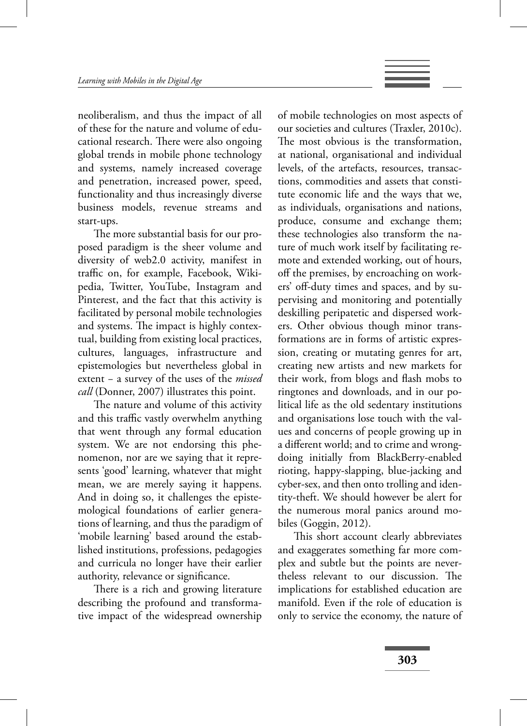neoliberalism, and thus the impact of all of these for the nature and volume of educational research. There were also ongoing global trends in mobile phone technology and systems, namely increased coverage and penetration, increased power, speed, functionality and thus increasingly diverse business models, revenue streams and start-ups.

The more substantial basis for our proposed paradigm is the sheer volume and diversity of web2.0 activity, manifest in traffic on, for example, Facebook, Wikipedia, Twitter, YouTube, Instagram and Pinterest, and the fact that this activity is facilitated by personal mobile technologies and systems. The impact is highly contextual, building from existing local practices, cultures, languages, infrastructure and epistemologies but nevertheless global in extent − a survey of the uses of the *missed call* (Donner, 2007) illustrates this point.

The nature and volume of this activity and this traffic vastly overwhelm anything that went through any formal education system. We are not endorsing this phenomenon, nor are we saying that it represents 'good' learning, whatever that might mean, we are merely saying it happens. And in doing so, it challenges the epistemological foundations of earlier generations of learning, and thus the paradigm of 'mobile learning' based around the established institutions, professions, pedagogies and curricula no longer have their earlier authority, relevance or significance.

There is a rich and growing literature describing the profound and transformative impact of the widespread ownership

of mobile technologies on most aspects of our societies and cultures (Traxler, 2010c). The most obvious is the transformation, at national, organisational and individual levels, of the artefacts, resources, transactions, commodities and assets that constitute economic life and the ways that we, as individuals, organisations and nations, produce, consume and exchange them; these technologies also transform the nature of much work itself by facilitating remote and extended working, out of hours, off the premises, by encroaching on workers' off-duty times and spaces, and by supervising and monitoring and potentially deskilling peripatetic and dispersed workers. Other obvious though minor transformations are in forms of artistic expression, creating or mutating genres for art, creating new artists and new markets for their work, from blogs and flash mobs to ringtones and downloads, and in our political life as the old sedentary institutions and organisations lose touch with the values and concerns of people growing up in a different world; and to crime and wrongdoing initially from BlackBerry-enabled rioting, happy-slapping, blue-jacking and cyber-sex, and then onto trolling and identity-theft. We should however be alert for the numerous moral panics around mobiles (Goggin, 2012).

This short account clearly abbreviates and exaggerates something far more complex and subtle but the points are nevertheless relevant to our discussion. The implications for established education are manifold. Even if the role of education is only to service the economy, the nature of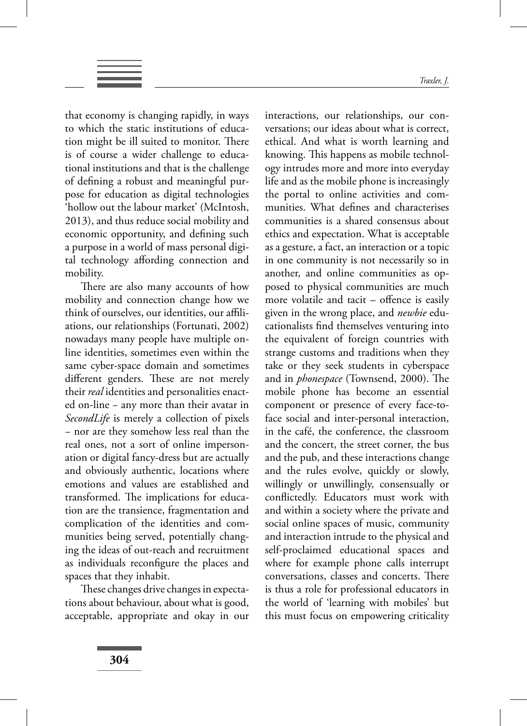that economy is changing rapidly, in ways to which the static institutions of education might be ill suited to monitor. There is of course a wider challenge to educational institutions and that is the challenge of defining a robust and meaningful purpose for education as digital technologies 'hollow out the labour market' (McIntosh, 2013), and thus reduce social mobility and economic opportunity, and defining such a purpose in a world of mass personal digital technology affording connection and mobility.

There are also many accounts of how mobility and connection change how we think of ourselves, our identities, our affiliations, our relationships (Fortunati, 2002) nowadays many people have multiple online identities, sometimes even within the same cyber-space domain and sometimes different genders. These are not merely their *real* identities and personalities enacted on-line − any more than their avatar in *SecondLife* is merely a collection of pixels − nor are they somehow less real than the real ones, not a sort of online impersonation or digital fancy-dress but are actually and obviously authentic, locations where emotions and values are established and transformed. The implications for education are the transience, fragmentation and complication of the identities and communities being served, potentially changing the ideas of out-reach and recruitment as individuals reconfigure the places and spaces that they inhabit.

These changes drive changes in expectations about behaviour, about what is good, acceptable, appropriate and okay in our interactions, our relationships, our conversations; our ideas about what is correct, ethical. And what is worth learning and knowing. This happens as mobile technology intrudes more and more into everyday life and as the mobile phone is increasingly the portal to online activities and communities. What defines and characterises communities is a shared consensus about ethics and expectation. What is acceptable as a gesture, a fact, an interaction or a topic in one community is not necessarily so in another, and online communities as opposed to physical communities are much more volatile and tacit  $-$  offence is easily given in the wrong place, and *newbie* educationalists find themselves venturing into the equivalent of foreign countries with strange customs and traditions when they take or they seek students in cyberspace and in *phonespace* (Townsend, 2000). The mobile phone has become an essential component or presence of every face-toface social and inter-personal interaction, in the café, the conference, the classroom and the concert, the street corner, the bus and the pub, and these interactions change and the rules evolve, quickly or slowly, willingly or unwillingly, consensually or conflictedly. Educators must work with and within a society where the private and social online spaces of music, community and interaction intrude to the physical and self-proclaimed educational spaces and where for example phone calls interrupt conversations, classes and concerts. There is thus a role for professional educators in the world of 'learning with mobiles' but this must focus on empowering criticality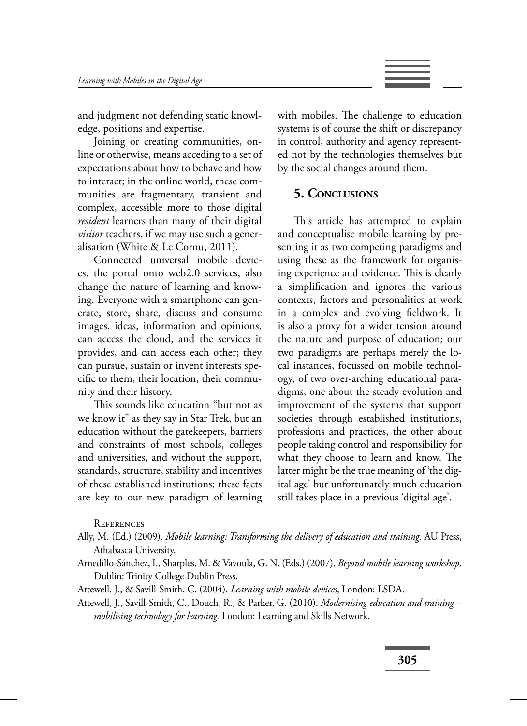

and judgment not defending static knowledge, positions and expertise.

Joining or creating communities, online or otherwise, means acceding to a set of expectations about how to behave and how to interact; in the online world, these communities are fragmentary, transient and complex, accessible more to those digital *resident* learners than many of their digital *visitor* teachers, if we may use such a generalisation (White & Le Cornu, 2011).

Connected universal mobile devices, the portal onto web2.0 services, also change the nature of learning and knowing. Everyone with a smartphone can generate, store, share, discuss and consume images, ideas, information and opinions, can access the cloud, and the services it provides, and can access each other; they can pursue, sustain or invent interests specific to them, their location, their community and their history.

This sounds like education "but not as we know it" as they say in Star Trek, but an education without the gatekeepers, barriers and constraints of most schools, colleges and universities, and without the support, standards, structure, stability and incentives of these established institutions; these facts are key to our new paradigm of learning with mobiles. The challenge to education systems is of course the shift or discrepancy in control, authority and agency represented not by the technologies themselves but by the social changes around them.

#### **5. CONCLUSIONS**

This article has attempted to explain and conceptualise mobile learning by presenting it as two competing paradigms and using these as the framework for organising experience and evidence. This is clearly a simplification and ignores the various contexts, factors and personalities at work in a complex and evolving fieldwork. It is also a proxy for a wider tension around the nature and purpose of education; our two paradigms are perhaps merely the local instances, focussed on mobile technology, of two over-arching educational paradigms, one about the steady evolution and improvement of the systems that support societies through established institutions, professions and practices, the other about people taking control and responsibility for what they choose to learn and know. The latter might be the true meaning of 'the digital age' but unfortunately much education still takes place in a previous 'digital age'.

**REFERENCES** 

Arnedillo-Sánchez, I., Sharples, M. & Vavoula, G. N. (Eds.) (2007). *Beyond mobile learning workshop*. Dublin: Trinity College Dublin Press.

Attewell, J., & Savill-Smith, C. (2004). *Learning with mobile devices*, London: LSDA.

Attewell, J., Savill-Smith, C., Douch, R., & Parker, G. (2010). *Modernising education and training − mobilising technology for learning.* London: Learning and Skills Network.

Ally, M. (Ed.) (2009). *Mobile learning: Transforming the delivery of education and training.* AU Press, Athabasca University.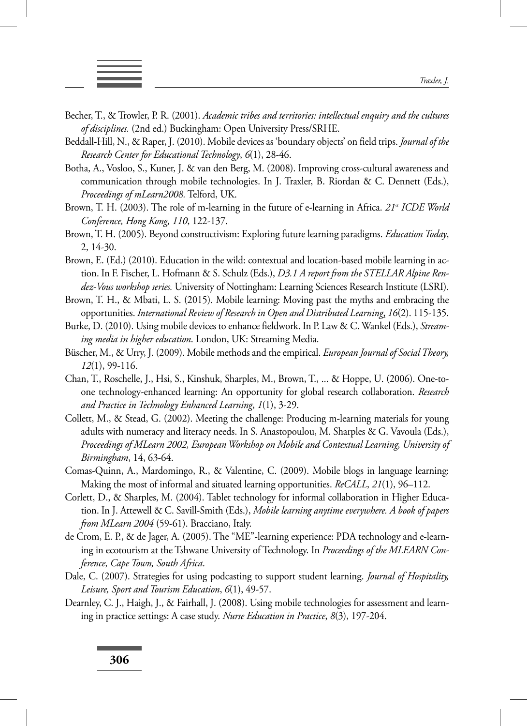- 
- Becher, T., & Trowler, P. R. (2001). *Academic tribes and territories: intellectual enquiry and the cultures of disciplines.* (2nd ed.) Buckingham: Open University Press/SRHE.
- Beddall-Hill, N., & Raper, J. (2010). Mobile devices as 'boundary objects' on field trips. *Journal of the Research Center for Educational Technology*, *6*(1), 28-46.
- Botha, A., Vosloo, S., Kuner, J. & van den Berg, M. (2008). Improving cross-cultural awareness and communication through mobile technologies. In J. Traxler, B. Riordan & C. Dennett (Eds.), *Proceedings of mLearn2008.* Telford, UK.
- Brown, T. H. (2003). The role of m-learning in the future of e-learning in Africa. 21<sup>st</sup> *ICDE World Conference, Hong Kong, 110*, 122-137.
- Brown, T. H. (2005). Beyond constructivism: Exploring future learning paradigms. *Education Today*, 2, 14-30.
- Brown, E. (Ed.) (2010). Education in the wild: contextual and location-based mobile learning in action. In F. Fischer, L. Hofmann & S. Schulz (Eds.), *D3.1 A report from the STELLAR Alpine Rendez-Vous workshop series.* University of Nottingham: Learning Sciences Research Institute (LSRI).
- Brown, T. H., & Mbati, L. S. (2015). Mobile learning: Moving past the myths and embracing the opportunities. *International Review of Research in Open and Distributed Learning*, *16*(2). 115-135.
- Burke, D. (2010). Using mobile devices to enhance fieldwork. In P. Law & C. Wankel (Eds.), *Streaming media in higher education*. London, UK: Streaming Media.
- Büscher, M., & Urry, J. (2009). Mobile methods and the empirical. *European Journal of Social Theory, 12*(1), 99-116.
- Chan, T., Roschelle, J., Hsi, S., Kinshuk, Sharples, M., Brown, T., ... & Hoppe, U. (2006). One-toone technology-enhanced learning: An opportunity for global research collaboration. *Research and Practice in Technology Enhanced Learning*, *1*(1), 3-29.
- Collett, M., & Stead, G. (2002). Meeting the challenge: Producing m-learning materials for young adults with numeracy and literacy needs. In S. Anastopoulou, M. Sharples & G. Vavoula (Eds.), *Proceedings of MLearn 2002, European Workshop on Mobile and Contextual Learning, University of Birmingham*, 14, 63-64.
- Comas-Quinn, A., Mardomingo, R., & Valentine, C. (2009). Mobile blogs in language learning: Making the most of informal and situated learning opportunities. *ReCALL*, *21*(1), 96–112.
- Corlett, D., & Sharples, M. (2004). Tablet technology for informal collaboration in Higher Education. In J. Attewell & C. Savill-Smith (Eds.), *Mobile learning anytime everywhere. A book of papers from MLearn 2004* (59-61). Bracciano, Italy.
- de Crom, E. P., & de Jager, A. (2005). The "ME"-learning experience: PDA technology and e-learning in ecotourism at the Tshwane University of Technology. In *Proceedings of the MLEARN Conference, Cape Town, South Africa*.
- Dale, C. (2007). Strategies for using podcasting to support student learning. *Journal of Hospitality, Leisure, Sport and Tourism Education*, *6*(1), 49-57.
- Dearnley, C. J., Haigh, J., & Fairhall, J. (2008). Using mobile technologies for assessment and learning in practice settings: A case study. *Nurse Education in Practice*, *8*(3), 197-204.

**306**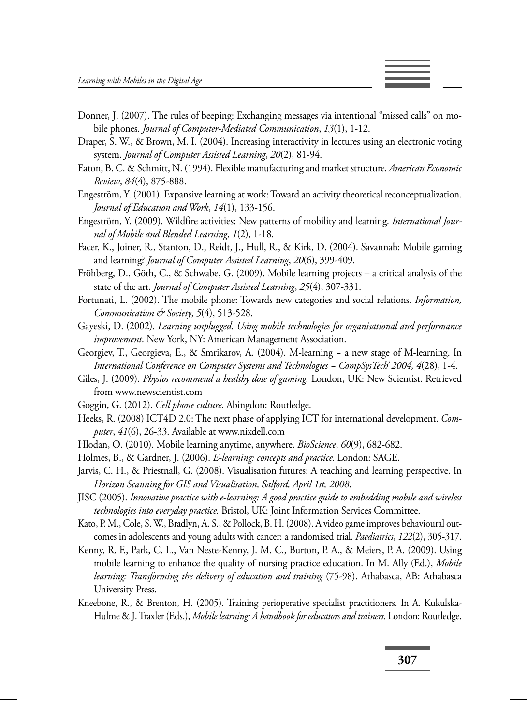

- Draper, S. W., & Brown, M. I. (2004). Increasing interactivity in lectures using an electronic voting system. *Journal of Computer Assisted Learning*, *20*(2), 81-94.
- Eaton, B. C. & Schmitt, N. (1994). Flexible manufacturing and market structure. *American Economic Review*, *84*(4), 875-888.
- Engeström, Y. (2001). Expansive learning at work: Toward an activity theoretical reconceptualization. *Journal of Education and Work*, *14*(1), 133-156.
- Engeström, Y. (2009). Wildfire activities: New patterns of mobility and learning. *International Journal of Mobile and Blended Learning*, *1*(2), 1-18.
- Facer, K., Joiner, R., Stanton, D., Reidt, J., Hull, R., & Kirk, D. (2004). Savannah: Mobile gaming and learning? *Journal of Computer Assisted Learning*, *20*(6), 399-409.
- Fröhberg, D., Göth, C., & Schwabe, G. (2009). Mobile learning projects a critical analysis of the state of the art. *Journal of Computer Assisted Learning*, *25*(4), 307-331.
- Fortunati, L. (2002). The mobile phone: Towards new categories and social relations. *Information, Communication & Society*, *5*(4), 513-528.
- Gayeski, D. (2002). *Learning unplugged. Using mobile technologies for organisational and performance improvement*. New York, NY: American Management Association.
- Georgiev, T., Georgieva, E., & Smrikarov, A. (2004). M-learning − a new stage of M-learning. In *International Conference on Computer Systems and Technologies − CompSysTech' 2004, 4*(28), 1-4.
- Giles, J. (2009). *Physios recommend a healthy dose of gaming.* London, UK: New Scientist. Retrieved from www.newscientist.com
- Goggin, G. (2012). *Cell phone culture*. Abingdon: Routledge.
- Heeks, R. (2008) ICT4D 2.0: The next phase of applying ICT for international development. *Computer*, *41*(6), 26-33. Available at www.nixdell.com
- Hlodan, O. (2010). Mobile learning anytime, anywhere. *BioScience*, *60*(9), 682-682.
- Holmes, B., & Gardner, J. (2006). *E-learning: concepts and practice.* London: SAGE.
- Jarvis, C. H., & Priestnall, G. (2008). Visualisation futures: A teaching and learning perspective. In *Horizon Scanning for GIS and Visualisation, Salford, April 1st, 2008*.
- JISC (2005). *Innovative practice with e-learning: A good practice guide to embedding mobile and wireless technologies into everyday practice.* Bristol, UK: Joint Information Services Committee.
- Kato, P. M., Cole, S. W., Bradlyn, A. S., & Pollock, B. H. (2008). A video game improves behavioural outcomes in adolescents and young adults with cancer: a randomised trial. *Paediatrics*, *122*(2), 305-317.
- Kenny, R. F., Park, C. L., Van Neste-Kenny, J. M. C., Burton, P. A., & Meiers, P. A. (2009). Using mobile learning to enhance the quality of nursing practice education. In M. Ally (Ed.), *Mobile learning: Transforming the delivery of education and training* (75-98). Athabasca, AB: Athabasca University Press.
- Kneebone, R., & Brenton, H. (2005). Training perioperative specialist practitioners. In A. Kukulska-Hulme & J. Traxler (Eds.), *Mobile learning: A handbook for educators and trainers.* London: Routledge.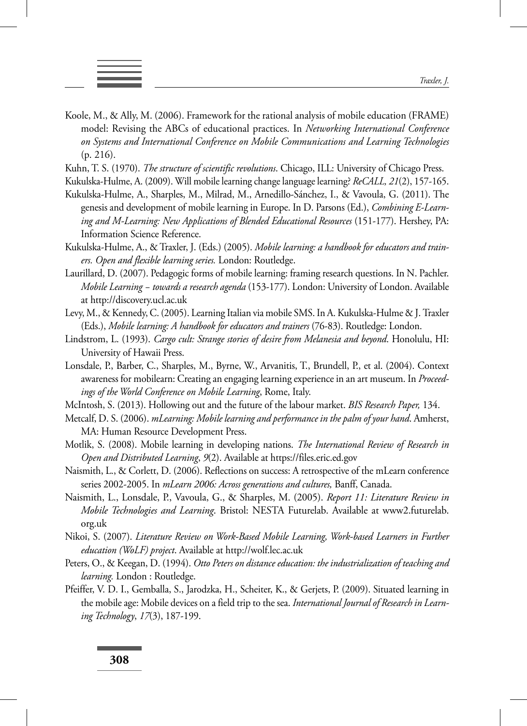

- 
- Koole, M., & Ally, M. (2006). Framework for the rational analysis of mobile education (FRAME) model: Revising the ABCs of educational practices. In *Networking International Conference on Systems and International Conference on Mobile Communications and Learning Technologies*  (p. 216).
- Kuhn, T. S. (1970). *The structure of scientific revolutions*. Chicago, ILL: University of Chicago Press.
- Kukulska-Hulme, A. (2009). Will mobile learning change language learning? *ReCALL, 21*(2), 157-165.
- Kukulska-Hulme, A., Sharples, M., Milrad, M., Arnedillo-Sánchez, I., & Vavoula, G. (2011). The genesis and development of mobile learning in Europe. In D. Parsons (Ed.), *Combining E-Learning and M-Learning: New Applications of Blended Educational Resources* (151-177). Hershey, PA: Information Science Reference.
- Kukulska-Hulme, A., & Traxler, J. (Eds.) (2005). *Mobile learning: a handbook for educators and trainers. Open and flexible learning series.* London: Routledge.
- Laurillard, D. (2007). Pedagogic forms of mobile learning: framing research questions. In N. Pachler. *Mobile Learning − towards a research agenda* (153-177). London: University of London. Available at http://discovery.ucl.ac.uk
- Levy, M., & Kennedy, C. (2005). Learning Italian via mobile SMS. In A. Kukulska-Hulme & J. Traxler (Eds.), *Mobile learning: A handbook for educators and trainers* (76-83). Routledge: London.
- Lindstrom, L. (1993). *Cargo cult: Strange stories of desire from Melanesia and beyond*. Honolulu, HI: University of Hawaii Press.
- Lonsdale, P., Barber, C., Sharples, M., Byrne, W., Arvanitis, T., Brundell, P., et al. (2004). Context awareness for mobilearn: Creating an engaging learning experience in an art museum. In *Proceedings of the World Conference on Mobile Learning*, Rome, Italy.
- McIntosh, S. (2013). Hollowing out and the future of the labour market. *BIS Research Paper,* 134.
- Metcalf, D. S. (2006). *mLearning: Mobile learning and performance in the palm of your hand*. Amherst, MA: Human Resource Development Press.
- Motlik, S. (2008). Mobile learning in developing nations. *The International Review of Research in Open and Distributed Learning*, *9*(2). Available at https://files.eric.ed.gov
- Naismith, L., & Corlett, D. (2006). Reflections on success: A retrospective of the mLearn conference series 2002-2005. In *mLearn 2006: Across generations and cultures,* Banff, Canada.
- Naismith, L., Lonsdale, P., Vavoula, G., & Sharples, M. (2005). *Report 11: Literature Review in Mobile Technologies and Learning*. Bristol: NESTA Futurelab. Available at www2.futurelab. org.uk
- Nikoi, S. (2007). *Literature Review on Work-Based Mobile Learning, Work-based Learners in Further education (WoLF) project*. Available at http://wolf.lec.ac.uk
- Peters, O., & Keegan, D. (1994). *Otto Peters on distance education: the industrialization of teaching and learning.* London : Routledge.
- Pfeiffer, V. D. I., Gemballa, S., Jarodzka, H., Scheiter, K., & Gerjets, P. (2009). Situated learning in the mobile age: Mobile devices on a field trip to the sea. *International Journal of Research in Learning Technology*, *17*(3), 187-199.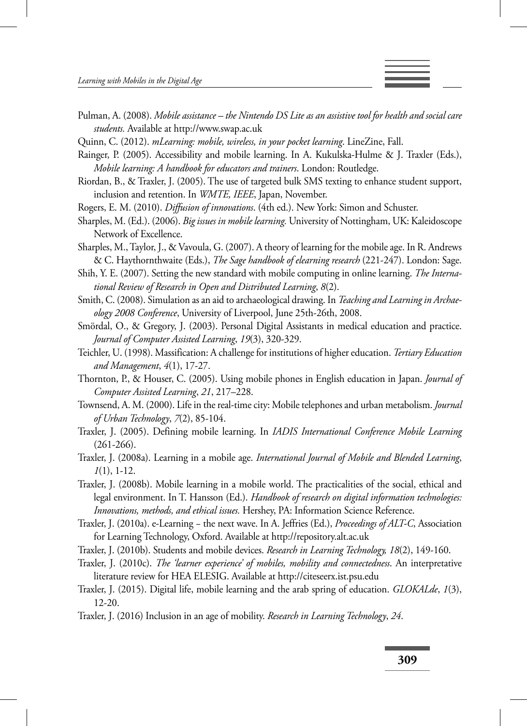

- Quinn, C. (2012). *mLearning: mobile, wireless, in your pocket learning*. LineZine, Fall.
- Rainger, P. (2005). Accessibility and mobile learning. In A. Kukulska-Hulme & J. Traxler (Eds.), *Mobile learning: A handbook for educators and trainers*. London: Routledge.
- Riordan, B., & Traxler, J. (2005). The use of targeted bulk SMS texting to enhance student support, inclusion and retention. In *WMTE, IEEE*, Japan, November.
- Rogers, E. M. (2010). *Diffusion of innovations*. (4th ed.). New York: Simon and Schuster.
- Sharples, M. (Ed.). (2006). *Big issues in mobile learning.* University of Nottingham, UK: Kaleidoscope Network of Excellence.
- Sharples, M., Taylor, J., & Vavoula, G. (2007). A theory of learning for the mobile age. In R. Andrews & C. Haythornthwaite (Eds.), *The Sage handbook of elearning research* (221-247). London: Sage.
- Shih, Y. E. (2007). Setting the new standard with mobile computing in online learning. *The International Review of Research in Open and Distributed Learning*, *8*(2).
- Smith, C. (2008). Simulation as an aid to archaeological drawing. In *Teaching and Learning in Archaeology 2008 Conference*, University of Liverpool, June 25th-26th, 2008.
- Smördal, O., & Gregory, J. (2003). Personal Digital Assistants in medical education and practice. *Journal of Computer Assisted Learning*, *19*(3), 320-329.
- Teichler, U. (1998). Massification: A challenge for institutions of higher education. *Tertiary Education and Management*, *4*(1), 17-27.
- Thornton, P., & Houser, C. (2005). Using mobile phones in English education in Japan. *Journal of Computer Assisted Learning*, *21*, 217–228.
- Townsend, A. M. (2000). Life in the real-time city: Mobile telephones and urban metabolism. *Journal of Urban Technology*, *7*(2), 85-104.
- Traxler, J. (2005). Defining mobile learning. In *IADIS International Conference Mobile Learning*  $(261-266)$ .
- Traxler, J. (2008a). Learning in a mobile age. *International Journal of Mobile and Blended Learning*, *1*(1), 1-12.
- Traxler, J. (2008b). Mobile learning in a mobile world. The practicalities of the social, ethical and legal environment. In T. Hansson (Ed.). *Handbook of research on digital information technologies: Innovations, methods, and ethical issues.* Hershey, PA: Information Science Reference.
- Traxler, J. (2010a). e-Learning − the next wave. In A. Jeffries (Ed.), *Proceedings of ALT-C*, Association for Learning Technology, Oxford. Available at http://repository.alt.ac.uk
- Traxler, J. (2010b). Students and mobile devices. *Research in Learning Technology, 18*(2), 149-160.
- Traxler, J. (2010c). *The 'learner experience' of mobiles, mobility and connectedness*. An interpretative literature review for HEA ELESIG. Available at http://citeseerx.ist.psu.edu
- Traxler, J. (2015). Digital life, mobile learning and the arab spring of education. *GLOKALde*, *1*(3), 12-20.
- Traxler, J. (2016) Inclusion in an age of mobility. *Research in Learning Technology*, *24*.